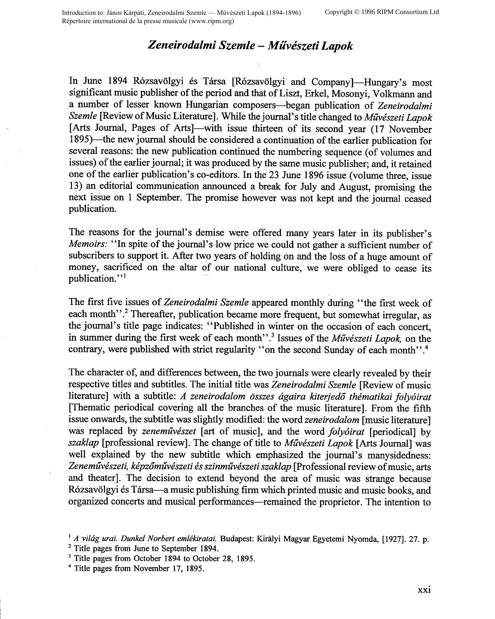## *Zeneirodalmi Szemle* **-** *M iiveszeti Lapok*

In June 1894 Rózsavölgyi és Társa [Rózsavölgyi and Company]-Hungary's most significant music publisher of the period and that of Liszt, Erkel, Mosonyi, Volkmann and a number of lesser known Hungarian composers-began publication of *Zeneirodalmi Szemle* [Review of Music Literature]. While the journal's title changed to *Muveszeti Lapok*  [Arts Journal, Pages of Arts]—with issue thirteen of its second year (17 November 1895)—the new journal should be considered a continuation of the earlier publication for several reasons: the new publication continued the numbering sequence (of volumes and issues) of the earlier journal; it was produced by the same music publisher; and, it retained one of the earlier publication's co-editors. In the 23 June 1896 issue (volume three, issue 13) an editorial communication announced a break for July and August, promising the next issue on 1 September. The promise however was not kept and the journal ceased publication.

The reasons for the journal's demise were offered many years later in its publisher's *Memoirs:* "In spite of the journal's low price we could not gather a sufficient number of subscribers to support it. After two years of holding on and the loss of a huge amount of money, sacrificed on the altar of our national culture, we were obliged to cease its publication."<sup>1</sup>

The first five issues of *Zeneirodalmi Szemle* appeared monthly during ''the first week of each month".<sup>2</sup> Thereafter, publication became more frequent, but somewhat irregular, as the journal's title page indicates: "Published in winter on the occasion of each concert, in summer during the first week of each month".<sup>3</sup> Issues of the *Muvészeti Lapok*, on the contrary, were published with strict regularity "on the second Sunday of each month".<sup>4</sup>

The character of, and differences between, the two journals were clearly revealed by their respective titles and subtitles. The initial title was *Zeneirodalmi Szemle* [Review of music literature] with a subtitle: *A zeneirodalom összes ágaira kiterjedő thématikai folyóirat* [Thematic periodical covering all the branches of the music literature]. From the fifth issue onwards, the subtitle was slightly modified: the word *zeneirodalom* [ music literature] was replaced by *zeneművészet* [art of music], and the word *folyóirat* [periodical] by *szaklap* [professional review]. The change of title to *Miiveszeti Lapok* [Arts Journal] was well explained by the new subtitle which emphasized the journal's manysidedness: Zeneművészeti, képzőművészeti és szinművészeti szaklap [Professional review of music, arts and theater]. The decision to extend beyond the area of music was strange because R6zsavolgyi es Tarsa-a music publishing firm which printed music and music books, and organized concerts and musical performances-remained the proprietor. The intention to

<sup>&</sup>lt;sup>1</sup> A világ urai. Dunkel Norbert emlékiratai. Budapest: Királyi Magyar Egyetemi Nyomda, [1927]. 27. p.

<sup>&</sup>lt;sup>2</sup> Title pages from June to September 1894.

<sup>&</sup>lt;sup>3</sup> Title pages from October 1894 to October 28, 1895.

<sup>&</sup>lt;sup>4</sup> Title pages from November 17, 1895.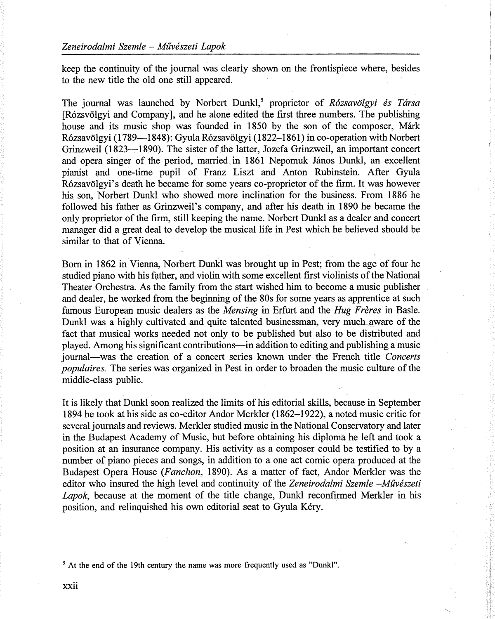keep the continuity of the journal was clearly shown on the frontispiece where, besides to the new title the old one still appeared.

The journal was launched by Norbert Dunkl,<sup>5</sup> proprietor of *Rózsavölgyi és Társa* [Rózsvölgyi and Company], and he alone edited the first three numbers. The publishing house and its music shop was founded in 1850 by the son of the composer, Mark R6zsavolgyi (1789-1848): Gyula R6zsavolgyi (1822-1861) in co-operation with Norbert Grinzweil (1823-1890). The sister of the latter, Jozefa Grinzweil, an important concert and opera singer of the period, married in 1861 Nepomuk János Dunkl, an excellent pianist and one-time pupil of Franz Liszt and Anton Rubinstein. After Gyula Rózsavölgyi's death he became for some years co-proprietor of the firm. It was however his son, Norbert Dunkl who showed more inclination for the business. From 1886 he followed his father as Grinzweil's company, and after his death in 1890 he became the only proprietor of the firm, still keeping the name. Norbert Dunkl as a dealer and concert manager did a great deal to develop the musical life in Pest which he believed should be similar to that of Vienna.

Born in 1862 in Vienna, Norbert Dunkl was brought up in Pest; from the age of four he studied piano with his father, and violin with some excellent first violinists of the National Theater Orchestra. As the family from the start wished him to become a music publisher and dealer, he worked from the beginning of the 80s for some years as apprentice at such famous European music dealers as the *Mensing* in Erfurt and the *Hug Freres* in Basie. Dunkl was a highly cultivated and quite talented businessman, very much aware of the fact that musical works needed not only to be published but also to be distributed and played. Among his significant contributions-in addition to editing and publishing a music journal-was the creation of a concert series known under the French title *Concerts populaires.* The series was organized in Pest in order to broaden the music culture of the middle-class public.

It is likely that Dunkl soon realized the limits of his editorial skills, because in September 1894 he took at his side as co-editor Andor Merkler (1862-1922), a noted music critic for several journals and reviews. Merkler studied music in the National Conservatory and later in the Budapest Academy of Music, but before obtaining his diploma he left and took a position at an insurance company. His activity as a composer could be testified to by a number of piano pieces and songs, in addition to a one act comic opera produced at the Budapest Opera House *(Fanchon,* 1890). As a matter of fact, Andor Merkler was the editor who insured the high level and continuity of the *Zeneirodalmi Szemle -Miiveszeti Lapok,* because at the moment of the title change, Dunkl reconfirmed Merkler in his position, and relinquished his own editorial seat to Gyula Kéry.

<sup>&</sup>lt;sup>5</sup> At the end of the 19th century the name was more frequently used as "Dunkl".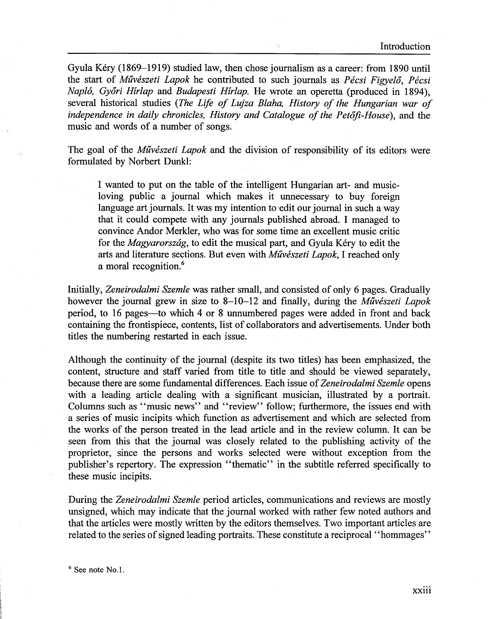Gyula Kery (1869-1919) studied law, then chose journalism as a career: from 1890 until the start of *Miiveszeti Lapok* he contributed to such journals as *Pecsi Figye/6, Pecsi Nap/6, Gyori Hirlap* and *Budapesti Hirlap.* He wrote an operetta (produced in 1894), several historical studies *(The Life of Lujza Blaha, History of the Hungarian war of independence in daily chronicles, History and Catalogue of the Petőfi-House)*, and the music and words of a number of songs.

The goal of the *Miiveszeti Lapok* and the division of responsibility of its editors were formulated by Norbert Dunkl:

I wanted to put on the table of the intelligent Hungarian art- and musicloving public a journal which makes it unnecessary to buy foreign language art journals. It was my intention to edit our journal in such a way that it could compete with any journals published abroad. I managed to convince Ander Merkler, who was for some time an excellent music critic for the *Magyarország*, to edit the musical part, and Gyula Kéry to edit the arts and literature sections. But even with *Miiveszeti Lapok,* I reached only a moral recognition.<sup>6</sup>

Initially, *Zeneirodalmi Szemle* was rather small, and consisted of only 6 pages. Gradually however the journal grew in size to 8–10–12 and finally, during the *Müvészeti Lapok* period, to 16 pages—to which 4 or 8 unnumbered pages were added in front and back containing the frontispiece, contents, list of collaborators and advertisements. Under both titles the numbering restarted in each issue.

Although the continuity of the journal (despite its two titles) has been emphasized, the content, structure and staff varied from title to title and should be viewed separately, because there are some fundamental differences. Each issue of *Zeneirodalmi Szemle* opens with a leading article dealing with a significant musician, illustrated by a portrait. Columns such as "music news" and "review" follow; furthermore, the issues end with a series of music incipits which function as advertisement and which are selected from the works of the person treated in the lead article and in the review column. It can be seen from this that the journal was closely related to the publishing activity of the proprietor, since the persons and works selected were without exception from the publisher's repertory. The expression "thematic" in the subtitle referred specifically to these music incipits.

During the *Zeneirodalmi Szemle* period articles, communications and reviews are mostly unsigned, which may indicate that the journal worked with rather few noted authors and that the articles were mostly written by the editors themselves. Two important articles are related to the series of signed leading portraits. These constitute a reciprocal "hommages"

 $6$  See note No.1.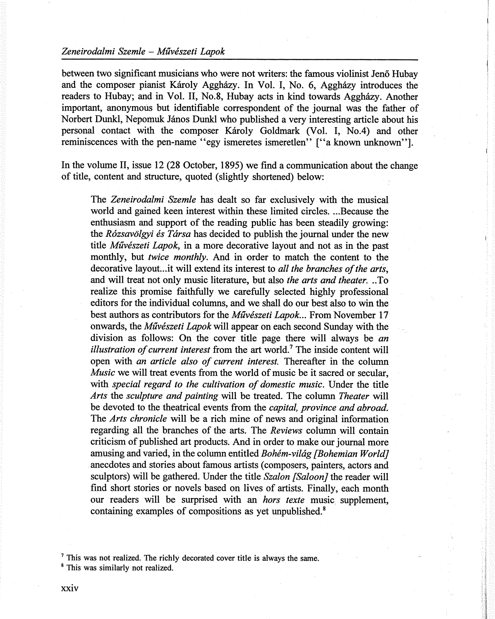## *Zeneirodalmi Szemle* - *Miiveszeti Lapok*

between two significant musicians who were not writers: the famous violinist Jeno Hubay and the composer pianist Károly Aggházy. In Vol. I, No. 6, Aggházy introduces the readers to Hubay; and in Vol. II, No.8, Hubay acts in kind towards Agghazy. Another important, anonymous but identifiable correspondent of the journal was the father of Norbert Dunkl, Nepomuk János Dunkl who published a very interesting article about his personal contact with the composer Karoly Goldmark (Vol. I, No.4) and other reminiscences with the pen-name "egy ismeretes ismeretlen" ["a known unknown"].

In the volume II, issue 12 (28 October, 1895) we find a communication about the change of title, content and structure, quoted (slightly shortened) below:

The *Zeneirodalmi Szemle* has dealt so far exclusively with the musical world and gained keen interest within these limited circles .... Because the enthusiasm and support of the reading public has been steadily growing: the *R6zsavolgyi es Tarsa* has decided to publish the journal under the new title *Miiveszeti Lapok,* in a more decorative layout and not as in the past monthly, but *twice monthly.* And in order to match the content to the decorative layout...it will extend its interest to *all the branches of the arts,*  and will treat not only music literature, but also *the arts and theater .* .. To realize this promise faithfully we carefully selected highly professional editors for the individual columns, and we shall do our best also to win the best authors as contributors for the *Művészeti Lapok..*. From November 17 onwards, the *Miiveszeti Lapok* will appear on each second Sunday with the division as follows: On the cover title page there will always be *an illustration of current interest* from the art world. <sup>7</sup>The inside content will open with *an article also of current interest.* Thereafter in the column *Music* we will treat events from the world of music be it sacred or secular, with *special regard to the cultivation of domestic music.* Under the title *Arts* the *sculpture and painting* will be treated. The column *Theater* will be devoted to the theatrical events from the *capital, province and abroad.*  The *Arts chronicle* will be a rich mine of news and original information regarding all the branches of the arts. The *Reviews* column will contain criticism of published art products. And in order to make our journal more amusing and varied, in the column entitled *Bohem-vilag [Bohemian World]*  anecdotes and stories about famous artists ( composers, painters, actors and sculptors) will be gathered. Under the title *Szalon [Saloon]* the reader will find short stories or novels based on lives of artists. Finally, each month our readers will be surprised with an *hors texte* music supplement, containing examples of compositions as yet unpublished.<sup>8</sup>

<sup>&</sup>lt;sup>7</sup> This was not realized. The richly decorated cover title is always the same.

<sup>&</sup>lt;sup>8</sup> This was similarly not realized.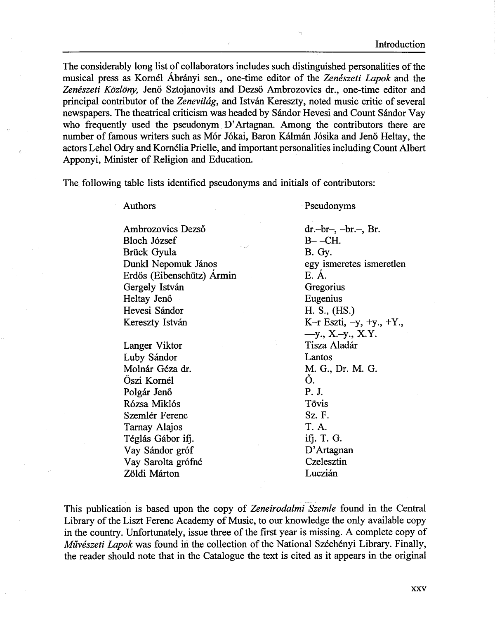The considerably long list of collaborators includes such distinguished personalities of the musical press as Kornel Abranyi sen., one-time editor of the *Zeneszeti Lapok* and the Zeneszeti Közlöny, Jenő Sztojanovits and Dezső Ambrozovics dr., one-time editor and principal contributor of the *Zenevilag,* and Istvan Kereszty, noted music critic of several newspapers. The theatrical criticism was headed by Sandor Hevesi and Count Sandor Vay who frequently used the pseudonym D'Artagnan. Among the contributors there are number of famous writers such as Mór Jókai, Baron Kálmán Jósika and Jenő Heltay, the actors Lehel Odry and Kornelia Prielle, and important personalities including Count Albert Apponyi, Minister of Religion and Education.

The following table lists identified pseudonyms and initials of contributors:

Authors

Zöldi Márton

## Pseudonyms

Luczián.

Ambrozovics Dezső Bloch Jozsef Brück Gyula Dunkl Nepomuk János Erdős (Eibenschütz) Ármin Gergely István Heltay Jenő Hevesi Sándor Kereszty István Langer Viktor Luby Sándor Molnár Géza dr. Öszi Kornél Polgár Jenő Rózsa Miklós Szemlér Ferenc Tarnay Alajos Téglás Gábor ifj. Vay Sándor gróf Vay Sarolta grófné  $dr.-br-, -br-, Br.$  $B- -CH.$ B. Gy. egy ismeretes ismeretlen E.A. Gregorius Eugenius H. S., (HS.)  $K-r$  Eszti,  $-y$ ,  $+y$ .,  $+Y$ .,  $-y$ ., X.-y., X.Y. Tisza Aladár Lantos M. G., Dr. M. G. Ö. P. J. **Tövis** Sz. F. T. A. ifj. T. G. D'Artagnan **Czelesztin** 

This publication is based upon the copy of *Zeneirodalmi Szemle* found in the Central Library of the Liszt Ferenc Academy of Music, to our knowledge the only available copy in the country. Unfortunately, issue three of the first year is missing. A complete copy of *Miiveszeti Lapok* was found in the collection of the National Szechenyi Library. Finally, the reader should note that in the Catalogue the text is cited as it appears in the original